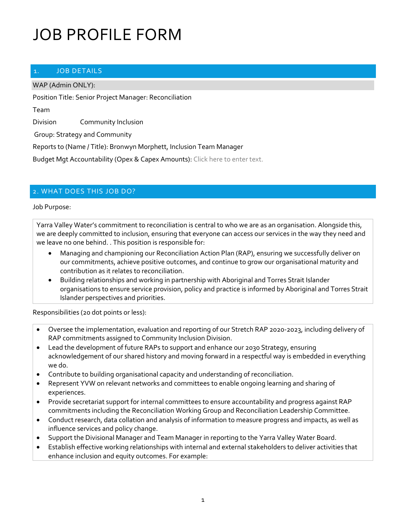#### 1. JOB DETAILS

WAP (Admin ONLY):

Position Title: Senior Project Manager: Reconciliation

Team

Division Community Inclusion

Group: Strategy and Community

Reports to (Name / Title): Bronwyn Morphett, Inclusion Team Manager

Budget Mgt Accountability (Opex & Capex Amounts): Click here to enter text.

#### 2. WHAT DOES THIS JOB DO?

Job Purpose:

Yarra Valley Water's commitment to reconciliation is central to who we are as an organisation. Alongside this, we are deeply committed to inclusion, ensuring that everyone can access our services in the way they need and we leave no one behind. . This position is responsible for:

- Managing and championing our Reconciliation Action Plan (RAP), ensuring we successfully deliver on our commitments, achieve positive outcomes, and continue to grow our organisational maturity and contribution as it relates to reconciliation.
- Building relationships and working in partnership with Aboriginal and Torres Strait Islander organisations to ensure service provision, policy and practice is informed by Aboriginal and Torres Strait Islander perspectives and priorities.

Responsibilities (20 dot points or less):

- Oversee the implementation, evaluation and reporting of our Stretch RAP 2020-2023, including delivery of RAP commitments assigned to Community Inclusion Division.
- Lead the development of future RAPs to support and enhance our 2030 Strategy, ensuring acknowledgement of our shared history and moving forward in a respectful way is embedded in everything we do.
- Contribute to building organisational capacity and understanding of reconciliation.
- Represent YVW on relevant networks and committees to enable ongoing learning and sharing of experiences.
- Provide secretariat support for internal committees to ensure accountability and progress against RAP commitments including the Reconciliation Working Group and Reconciliation Leadership Committee.
- Conduct research, data collation and analysis of information to measure progress and impacts, as well as influence services and policy change.
- Support the Divisional Manager and Team Manager in reporting to the Yarra Valley Water Board.
- Establish effective working relationships with internal and external stakeholders to deliver activities that enhance inclusion and equity outcomes. For example: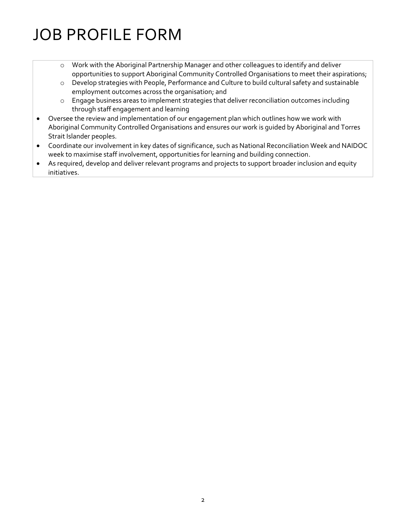- o Work with the Aboriginal Partnership Manager and other colleagues to identify and deliver opportunities to support Aboriginal Community Controlled Organisations to meet their aspirations;
- o Develop strategies with People, Performance and Culture to build cultural safety and sustainable employment outcomes across the organisation; and
- o Engage business areas to implement strategies that deliver reconciliation outcomes including through staff engagement and learning
- Oversee the review and implementation of our engagement plan which outlines how we work with Aboriginal Community Controlled Organisations and ensures our work is guided by Aboriginal and Torres Strait Islander peoples.
- Coordinate our involvement in key dates of significance, such as National Reconciliation Week and NAIDOC week to maximise staff involvement, opportunities for learning and building connection.
- As required, develop and deliver relevant programs and projects to support broader inclusion and equity initiatives.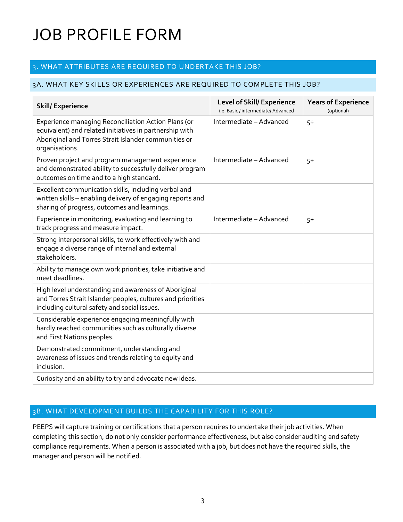## 3. WHAT ATTRIBUTES ARE REQUIRED TO UNDERTAKE THIS JOB?

#### 3A. WHAT KEY SKILLS OR EXPERIENCES ARE REQUIRED TO COMPLETE THIS JOB?

| <b>Skill/Experience</b>                                                                                                                                                                  | <b>Level of Skill/ Experience</b><br>i.e. Basic / intermediate/ Advanced | <b>Years of Experience</b><br>(optional) |
|------------------------------------------------------------------------------------------------------------------------------------------------------------------------------------------|--------------------------------------------------------------------------|------------------------------------------|
| Experience managing Reconciliation Action Plans (or<br>equivalent) and related initiatives in partnership with<br>Aboriginal and Torres Strait Islander communities or<br>organisations. | Intermediate - Advanced                                                  | $5+$                                     |
| Proven project and program management experience<br>and demonstrated ability to successfully deliver program<br>outcomes on time and to a high standard.                                 | Intermediate - Advanced                                                  | $5+$                                     |
| Excellent communication skills, including verbal and<br>written skills - enabling delivery of engaging reports and<br>sharing of progress, outcomes and learnings.                       |                                                                          |                                          |
| Experience in monitoring, evaluating and learning to<br>track progress and measure impact.                                                                                               | Intermediate - Advanced                                                  | $5+$                                     |
| Strong interpersonal skills, to work effectively with and<br>engage a diverse range of internal and external<br>stakeholders.                                                            |                                                                          |                                          |
| Ability to manage own work priorities, take initiative and<br>meet deadlines.                                                                                                            |                                                                          |                                          |
| High level understanding and awareness of Aboriginal<br>and Torres Strait Islander peoples, cultures and priorities<br>including cultural safety and social issues.                      |                                                                          |                                          |
| Considerable experience engaging meaningfully with<br>hardly reached communities such as culturally diverse<br>and First Nations peoples.                                                |                                                                          |                                          |
| Demonstrated commitment, understanding and<br>awareness of issues and trends relating to equity and<br>inclusion.                                                                        |                                                                          |                                          |
| Curiosity and an ability to try and advocate new ideas.                                                                                                                                  |                                                                          |                                          |

### 3B. WHAT DEVELOPMENT BUILDS THE CAPABILITY FOR THIS ROLE?

PEEPS will capture training or certifications that a person requires to undertake their job activities. When completing this section, do not only consider performance effectiveness, but also consider auditing and safety compliance requirements. When a person is associated with a job, but does not have the required skills, the manager and person will be notified.